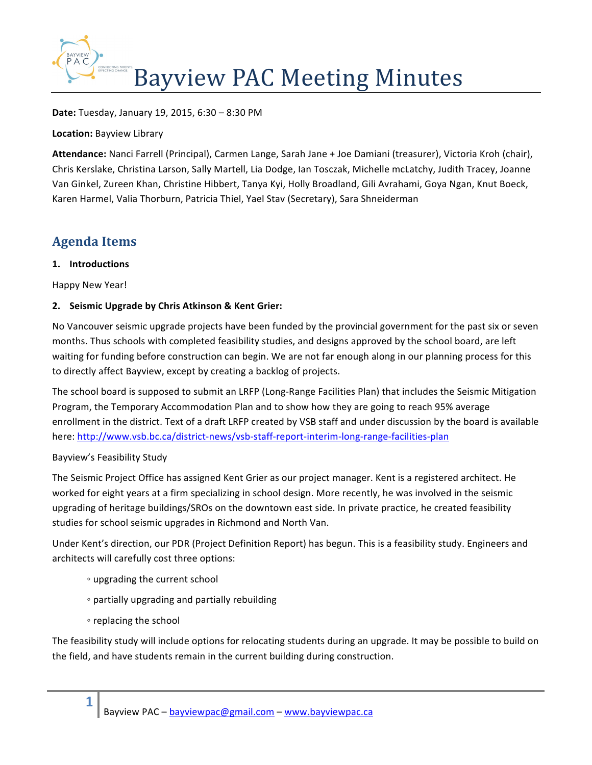

**Date:** Tuesday, January 19, 2015, 6:30 - 8:30 PM

**Location: Bayview Library** 

Attendance: Nanci Farrell (Principal), Carmen Lange, Sarah Jane + Joe Damiani (treasurer), Victoria Kroh (chair), Chris Kerslake, Christina Larson, Sally Martell, Lia Dodge, Ian Tosczak, Michelle mcLatchy, Judith Tracey, Joanne Van Ginkel, Zureen Khan, Christine Hibbert, Tanya Kyi, Holly Broadland, Gili Avrahami, Goya Ngan, Knut Boeck, Karen Harmel, Valia Thorburn, Patricia Thiel, Yael Stav (Secretary), Sara Shneiderman

# **Agenda Items**

#### **1. Introductions**

Happy New Year!

### **2. Seismic Upgrade by Chris Atkinson & Kent Grier:**

No Vancouver seismic upgrade projects have been funded by the provincial government for the past six or seven months. Thus schools with completed feasibility studies, and designs approved by the school board, are left waiting for funding before construction can begin. We are not far enough along in our planning process for this to directly affect Bayview, except by creating a backlog of projects.

The school board is supposed to submit an LRFP (Long-Range Facilities Plan) that includes the Seismic Mitigation Program, the Temporary Accommodation Plan and to show how they are going to reach 95% average enrollment in the district. Text of a draft LRFP created by VSB staff and under discussion by the board is available here: http://www.vsb.bc.ca/district-news/vsb-staff-report-interim-long-range-facilities-plan

#### Bayview's Feasibility Study

The Seismic Project Office has assigned Kent Grier as our project manager. Kent is a registered architect. He worked for eight years at a firm specializing in school design. More recently, he was involved in the seismic upgrading of heritage buildings/SROs on the downtown east side. In private practice, he created feasibility studies for school seismic upgrades in Richmond and North Van.

Under Kent's direction, our PDR (Project Definition Report) has begun. This is a feasibility study. Engineers and architects will carefully cost three options:

- upgrading the current school
- partially upgrading and partially rebuilding
- replacing the school

**1**

The feasibility study will include options for relocating students during an upgrade. It may be possible to build on the field, and have students remain in the current building during construction.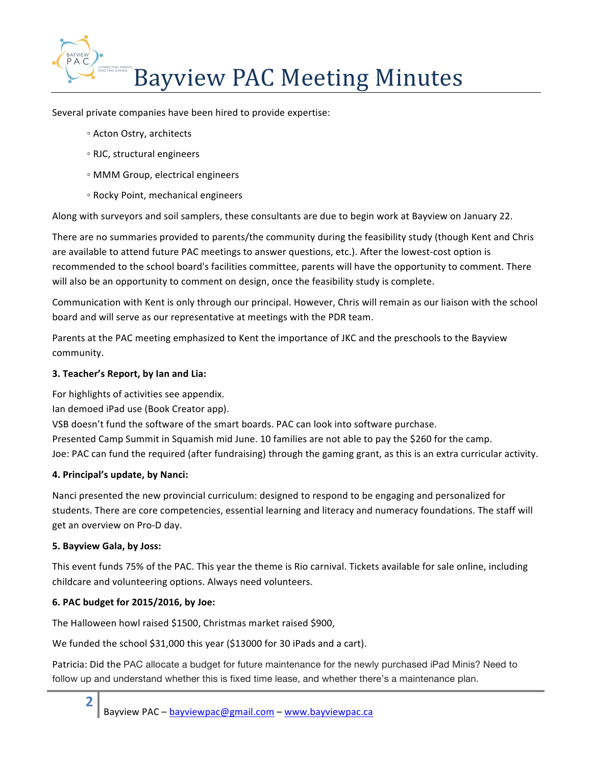

Several private companies have been hired to provide expertise:

- Acton Ostry, architects
- RJC, structural engineers
- MMM Group, electrical engineers
- Rocky Point, mechanical engineers

Along with surveyors and soil samplers, these consultants are due to begin work at Bayview on January 22.

There are no summaries provided to parents/the community during the feasibility study (though Kent and Chris are available to attend future PAC meetings to answer questions, etc.). After the lowest-cost option is recommended to the school board's facilities committee, parents will have the opportunity to comment. There will also be an opportunity to comment on design, once the feasibility study is complete.

Communication with Kent is only through our principal. However, Chris will remain as our liaison with the school board and will serve as our representative at meetings with the PDR team.

Parents at the PAC meeting emphasized to Kent the importance of JKC and the preschools to the Bayview community.

#### **3. Teacher's Report, by Ian and Lia:**

For highlights of activities see appendix.

Ian demoed iPad use (Book Creator app).

VSB doesn't fund the software of the smart boards. PAC can look into software purchase.

Presented Camp Summit in Squamish mid June. 10 families are not able to pay the \$260 for the camp.

Joe: PAC can fund the required (after fundraising) through the gaming grant, as this is an extra curricular activity.

#### **4. Principal's update, by Nanci:**

Nanci presented the new provincial curriculum: designed to respond to be engaging and personalized for students. There are core competencies, essential learning and literacy and numeracy foundations. The staff will get an overview on Pro-D day.

#### **5. Bayview Gala, by Joss:**

**2**

This event funds 75% of the PAC. This year the theme is Rio carnival. Tickets available for sale online, including childcare and volunteering options. Always need volunteers.

#### **6. PAC budget for 2015/2016, by Joe:**

The Halloween howl raised \$1500, Christmas market raised \$900,

We funded the school \$31,000 this year (\$13000 for 30 iPads and a cart).

Patricia: Did the PAC allocate a budget for future maintenance for the newly purchased iPad Minis? Need to follow up and understand whether this is fixed time lease, and whether there's a maintenance plan.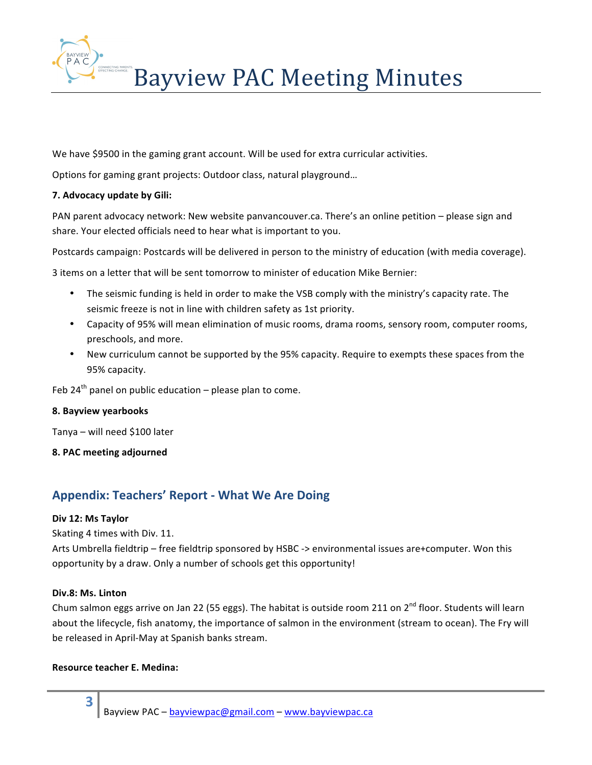

We have \$9500 in the gaming grant account. Will be used for extra curricular activities.

Options for gaming grant projects: Outdoor class, natural playground...

#### **7. Advocacy update by Gili:**

PAN parent advocacy network: New website panvancouver.ca. There's an online petition – please sign and share. Your elected officials need to hear what is important to you.

Postcards campaign: Postcards will be delivered in person to the ministry of education (with media coverage).

3 items on a letter that will be sent tomorrow to minister of education Mike Bernier:

- The seismic funding is held in order to make the VSB comply with the ministry's capacity rate. The seismic freeze is not in line with children safety as 1st priority.
- Capacity of 95% will mean elimination of music rooms, drama rooms, sensory room, computer rooms, preschools, and more.
- New curriculum cannot be supported by the 95% capacity. Require to exempts these spaces from the 95% capacity.

Feb  $24^{th}$  panel on public education – please plan to come.

#### **8. Bayview yearbooks**

Tanya – will need \$100 later

**8. PAC meeting adjourned**

## **Appendix: Teachers' Report - What We Are Doing**

#### **Div 12: Ms Taylor**

Skating 4 times with Div. 11.

Arts Umbrella fieldtrip – free fieldtrip sponsored by HSBC -> environmental issues are+computer. Won this opportunity by a draw. Only a number of schools get this opportunity!

#### **Div.8: Ms. Linton**

**3**

Chum salmon eggs arrive on Jan 22 (55 eggs). The habitat is outside room 211 on 2<sup>nd</sup> floor. Students will learn about the lifecycle, fish anatomy, the importance of salmon in the environment (stream to ocean). The Fry will be released in April-May at Spanish banks stream.

#### **Resource teacher E. Medina:**